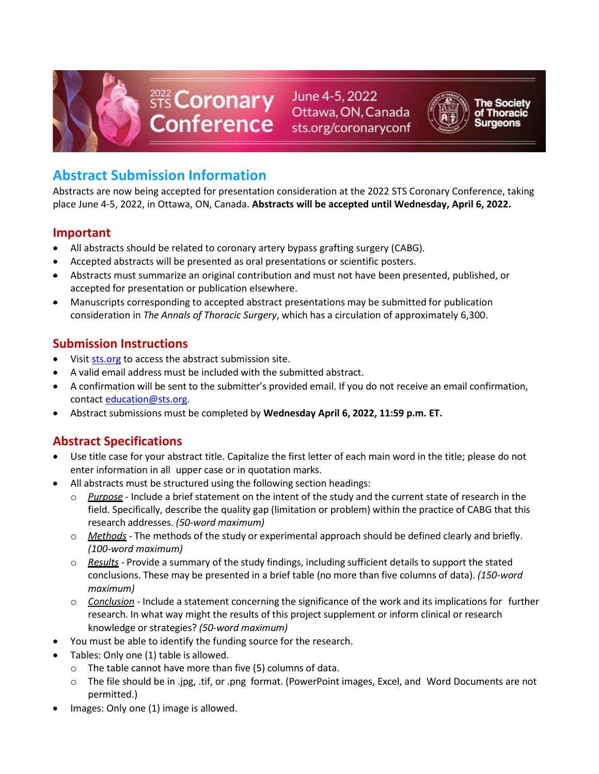

STS Coronary June 4-5, 2022<br>Conference sts.org/coronaryconf



**he Society** 

# **Abstract Submission Information**

Abstracts are now being accepted for presentation consideration at the 2022 STS Coronary Conference, taking place June 4-5, 2022, in Ottawa, ON, Canada. **Abstracts will be accepted until Wednesday, April 6, 2022.** 

### **Important**

- All abstracts should be related to coronary artery bypass grafting surgery (CABG).
- Accepted abstracts will be presented as oral presentations or scientific posters.
- Abstracts must summarize an original contribution and must not have been presented, published, or accepted for presentation or publication elsewhere.
- Manuscripts corresponding to accepted abstract presentations may be submitted for publication consideration in *The Annals of Thoracic Surgery*, which has a circulation of approximately 6,300.

### **Submission Instructions**

- Visit [sts.org](https://www.sts.org/2022-sts-coronary-conference-abstract-submission-form) to access the abstract submission site.
- A valid email address must be included with the submitted abstract.
- A confirmation will be sent to the submitter's provided email. If you do not receive an email confirmation, contact [education@sts.org.](mailto:education@sts.org)
- Abstract submissions must be completed by **Wednesday April 6, 2022, 11:59 p.m. ET.**

## **Abstract Specifications**

- Use title case for your abstract title. Capitalize the first letter of each main word in the title; please do not enter information in all upper case or in quotation marks.
- All abstracts must be structured using the following section headings:
	- o *Purpose -* Include a brief statement on the intent of the study and the current state of research in the field. Specifically, describe the quality gap (limitation or problem) within the practice of CABG that this research addresses. *(50-word maximum)*
	- o *Methods -* The methods of the study or experimental approach should be defined clearly and briefly. *(100-word maximum)*
	- o *Results -* Provide a summary of the study findings, including sufficient details to support the stated conclusions. These may be presented in a brief table (no more than five columns of data). *(150-word maximum)*
	- o *Conclusion -* Include a statement concerning the significance of the work and its implications for further research. In what way might the results of this project supplement or inform clinical or research knowledge or strategies? *(50-word maximum)*
- You must be able to identify the funding source for the research.
- Tables: Only one (1) table is allowed.
	- o The table cannot have more than five (5) columns of data.
	- o The file should be in .jpg, .tif, or .png format. (PowerPoint images, Excel, and Word Documents are not permitted.)
- Images: Only one (1) image is allowed.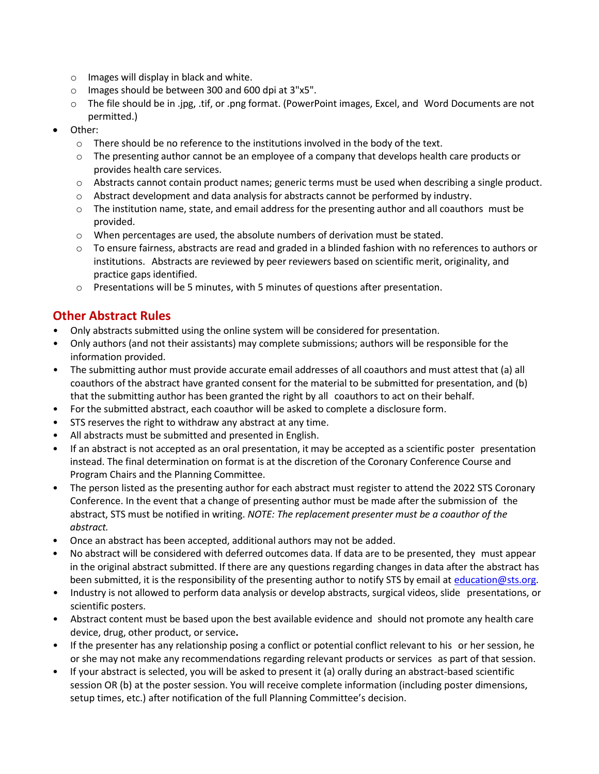- o Images will display in black and white.
- o Images should be between 300 and 600 dpi at 3"x5".
- o The file should be in .jpg, .tif, or .png format. (PowerPoint images, Excel, and Word Documents are not permitted.)
- Other:
	- $\circ$  There should be no reference to the institutions involved in the body of the text.
	- $\circ$  The presenting author cannot be an employee of a company that develops health care products or provides health care services.
	- o Abstracts cannot contain product names; generic terms must be used when describing a single product.
	- $\circ$  Abstract development and data analysis for abstracts cannot be performed by industry.
	- $\circ$  The institution name, state, and email address for the presenting author and all coauthors must be provided.
	- o When percentages are used, the absolute numbers of derivation must be stated.
	- o To ensure fairness, abstracts are read and graded in a blinded fashion with no references to authors or institutions. Abstracts are reviewed by peer reviewers based on scientific merit, originality, and practice gaps identified.
	- o Presentations will be 5 minutes, with 5 minutes of questions after presentation.

### **Other Abstract Rules**

- Only abstracts submitted using the online system will be considered for presentation.
- Only authors (and not their assistants) may complete submissions; authors will be responsible for the information provided.
- The submitting author must provide accurate email addresses of all coauthors and must attest that (a) all coauthors of the abstract have granted consent for the material to be submitted for presentation, and (b) that the submitting author has been granted the right by all coauthors to act on their behalf.
- For the submitted abstract, each coauthor will be asked to complete a disclosure form.
- STS reserves the right to withdraw any abstract at any time.
- All abstracts must be submitted and presented in English.
- If an abstract is not accepted as an oral presentation, it may be accepted as a scientific poster presentation instead. The final determination on format is at the discretion of the Coronary Conference Course and Program Chairs and the Planning Committee.
- The person listed as the presenting author for each abstract must register to attend the 2022 STS Coronary Conference. In the event that a change of presenting author must be made after the submission of the abstract, STS must be notified in writing. *NOTE: The replacement presenter must be a coauthor of the abstract.*
- Once an abstract has been accepted, additional authors may not be added.
- No abstract will be considered with deferred outcomes data. If data are to be presented, they must appear in the original abstract submitted. If there are any questions regarding changes in data after the abstract has been submitted, it is the responsibility of the presenting author to notify STS by email at [education@sts.org.](mailto:education@sts.org)
- Industry is not allowed to perform data analysis or develop abstracts, surgical videos, slide presentations, or scientific posters.
- Abstract content must be based upon the best available evidence and should not promote any health care device, drug, other product, or service**.**
- If the presenter has any relationship posing a conflict or potential conflict relevant to his or her session, he or she may not make any recommendations regarding relevant products or services as part of that session.
- If your abstract is selected, you will be asked to present it (a) orally during an abstract-based scientific session OR (b) at the poster session. You will receive complete information (including poster dimensions, setup times, etc.) after notification of the full Planning Committee's decision.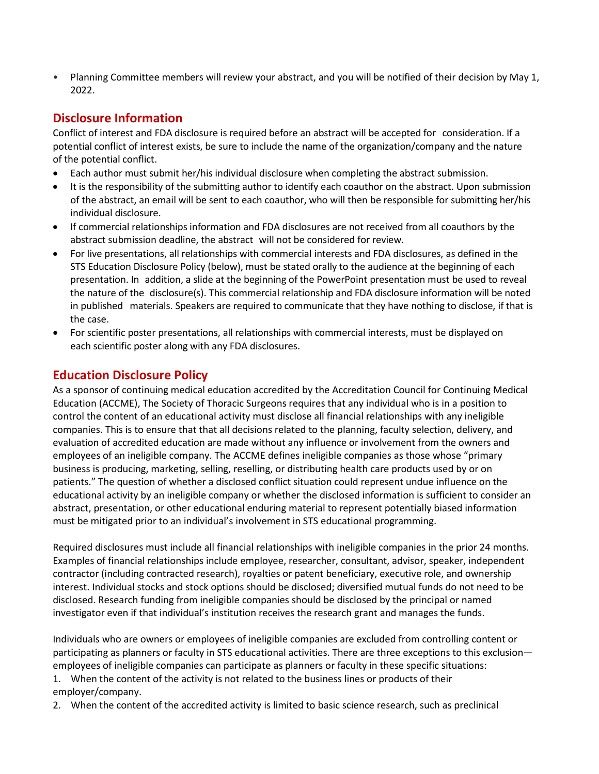• Planning Committee members will review your abstract, and you will be notified of their decision by May 1, 2022.

#### **Disclosure Information**

Conflict of interest and FDA disclosure is required before an abstract will be accepted for consideration. If a potential conflict of interest exists, be sure to include the name of the organization/company and the nature of the potential conflict.

- Each author must submit her/his individual disclosure when completing the abstract submission.
- It is the responsibility of the submitting author to identify each coauthor on the abstract. Upon submission of the abstract, an email will be sent to each coauthor, who will then be responsible for submitting her/his individual disclosure.
- If commercial relationships information and FDA disclosures are not received from all coauthors by the abstract submission deadline, the abstract will not be considered for review.
- For live presentations, all relationships with commercial interests and FDA disclosures, as defined in the STS Education Disclosure Policy (below), must be stated orally to the audience at the beginning of each presentation. In addition, a slide at the beginning of the PowerPoint presentation must be used to reveal the nature of the disclosure(s). This commercial relationship and FDA disclosure information will be noted in published materials. Speakers are required to communicate that they have nothing to disclose, if that is the case.
- For scientific poster presentations, all relationships with commercial interests, must be displayed on each scientific poster along with any FDA disclosures.

#### **Education Disclosure Policy**

As a sponsor of continuing medical education accredited by the Accreditation Council for Continuing Medical Education (ACCME), The Society of Thoracic Surgeons requires that any individual who is in a position to control the content of an educational activity must disclose all financial relationships with any ineligible companies. This is to ensure that that all decisions related to the planning, faculty selection, delivery, and evaluation of accredited education are made without any influence or involvement from the owners and employees of an ineligible company. The ACCME defines ineligible companies as those whose "primary business is producing, marketing, selling, reselling, or distributing health care products used by or on patients." The question of whether a disclosed conflict situation could represent undue influence on the educational activity by an ineligible company or whether the disclosed information is sufficient to consider an abstract, presentation, or other educational enduring material to represent potentially biased information must be mitigated prior to an individual's involvement in STS educational programming.

Required disclosures must include all financial relationships with ineligible companies in the prior 24 months. Examples of financial relationships include employee, researcher, consultant, advisor, speaker, independent contractor (including contracted research), royalties or patent beneficiary, executive role, and ownership interest. Individual stocks and stock options should be disclosed; diversified mutual funds do not need to be disclosed. Research funding from ineligible companies should be disclosed by the principal or named investigator even if that individual's institution receives the research grant and manages the funds.

Individuals who are owners or employees of ineligible companies are excluded from controlling content or participating as planners or faculty in STS educational activities. There are three exceptions to this exclusion employees of ineligible companies can participate as planners or faculty in these specific situations:

1. When the content of the activity is not related to the business lines or products of their employer/company.

2. When the content of the accredited activity is limited to basic science research, such as preclinical